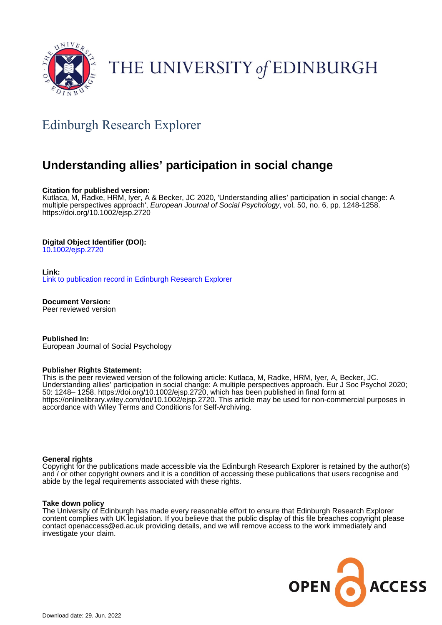

# THE UNIVERSITY of EDINBURGH

# Edinburgh Research Explorer

# **Understanding allies' participation in social change**

#### **Citation for published version:**

Kutlaca, M, Radke, HRM, Iyer, A & Becker, JC 2020, 'Understanding allies' participation in social change: A multiple perspectives approach', European Journal of Social Psychology, vol. 50, no. 6, pp. 1248-1258. <https://doi.org/10.1002/ejsp.2720>

# **Digital Object Identifier (DOI):**

[10.1002/ejsp.2720](https://doi.org/10.1002/ejsp.2720)

#### **Link:**

[Link to publication record in Edinburgh Research Explorer](https://www.research.ed.ac.uk/en/publications/34c0d7dc-f1f8-453a-bd2f-7e354be6458e)

**Document Version:** Peer reviewed version

**Published In:** European Journal of Social Psychology

#### **Publisher Rights Statement:**

This is the peer reviewed version of the following article: Kutlaca, M, Radke, HRM, Iyer, A, Becker, JC. Understanding allies' participation in social change: A multiple perspectives approach. Eur J Soc Psychol 2020; 50: 1248– 1258. https://doi.org/10.1002/ejsp.2720, which has been published in final form at https://onlinelibrary.wiley.com/doi/10.1002/ejsp.2720. This article may be used for non-commercial purposes in accordance with Wiley Terms and Conditions for Self-Archiving.

#### **General rights**

Copyright for the publications made accessible via the Edinburgh Research Explorer is retained by the author(s) and / or other copyright owners and it is a condition of accessing these publications that users recognise and abide by the legal requirements associated with these rights.

#### **Take down policy**

The University of Edinburgh has made every reasonable effort to ensure that Edinburgh Research Explorer content complies with UK legislation. If you believe that the public display of this file breaches copyright please contact openaccess@ed.ac.uk providing details, and we will remove access to the work immediately and investigate your claim.

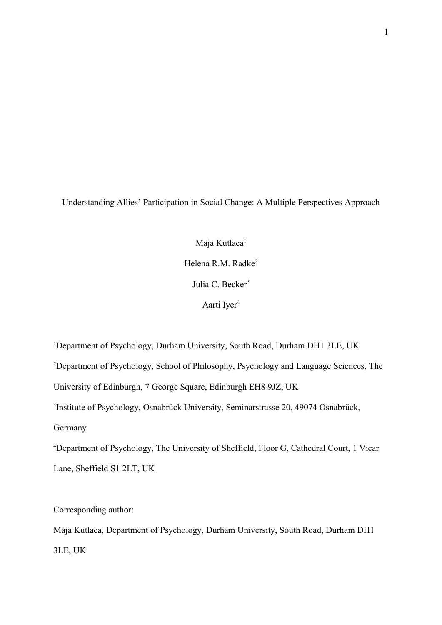Understanding Allies' Participation in Social Change: A Multiple Perspectives Approach

Maja Kutlaca<sup>1</sup> Helena R.M. Radke<sup>2</sup> Julia C. Becker<sup>3</sup> Aarti Iyer<sup>4</sup>

<sup>1</sup>Department of Psychology, Durham University, South Road, Durham DH1 3LE, UK <sup>2</sup>Department of Psychology, School of Philosophy, Psychology and Language Sciences, The University of Edinburgh, 7 George Square, Edinburgh EH8 9JZ, UK 3 Institute of Psychology, Osnabrück University, Seminarstrasse 20, 49074 Osnabrück, Germany <sup>4</sup>Department of Psychology, The University of Sheffield, Floor G, Cathedral Court, 1 Vicar Lane, Sheffield S1 2LT, UK

Corresponding author:

Maja Kutlaca, Department of Psychology, Durham University, South Road, Durham DH1 3LE, UK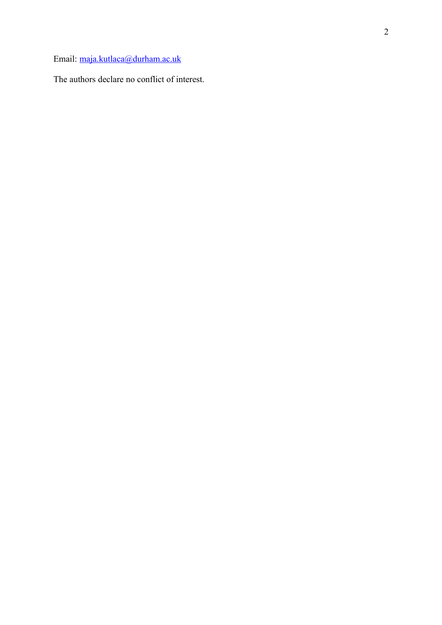Email: [maja.kutlaca@durham.ac.uk](mailto:maja.kutlaca@durham.ac.uk)

The authors declare no conflict of interest.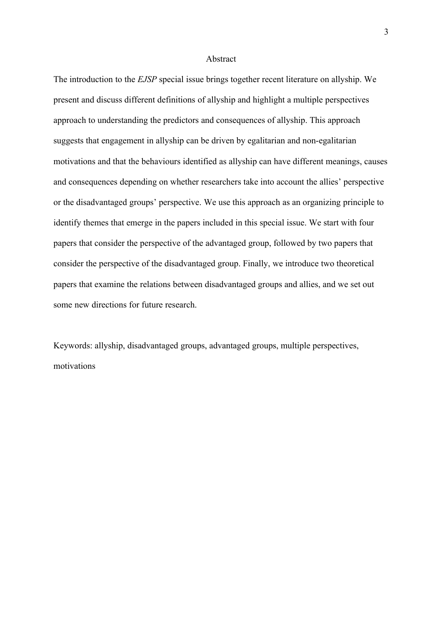#### Abstract

The introduction to the *EJSP* special issue brings together recent literature on allyship. We present and discuss different definitions of allyship and highlight a multiple perspectives approach to understanding the predictors and consequences of allyship. This approach suggests that engagement in allyship can be driven by egalitarian and non-egalitarian motivations and that the behaviours identified as allyship can have different meanings, causes and consequences depending on whether researchers take into account the allies' perspective or the disadvantaged groups' perspective. We use this approach as an organizing principle to identify themes that emerge in the papers included in this special issue. We start with four papers that consider the perspective of the advantaged group, followed by two papers that consider the perspective of the disadvantaged group. Finally, we introduce two theoretical papers that examine the relations between disadvantaged groups and allies, and we set out some new directions for future research.

Keywords: allyship, disadvantaged groups, advantaged groups, multiple perspectives, motivations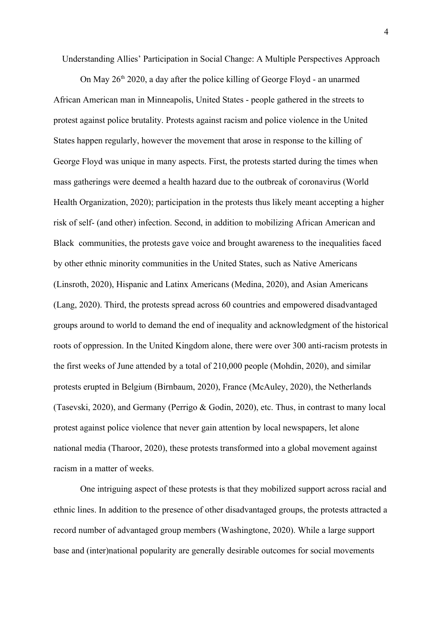Understanding Allies' Participation in Social Change: A Multiple Perspectives Approach

On May  $26<sup>th</sup> 2020$ , a day after the police killing of George Floyd - an unarmed African American man in Minneapolis, United States - people gathered in the streets to protest against police brutality. Protests against racism and police violence in the United States happen regularly, however the movement that arose in response to the killing of George Floyd was unique in many aspects. First, the protests started during the times when mass gatherings were deemed a health hazard due to the outbreak of coronavirus (World Health Organization, 2020); participation in the protests thus likely meant accepting a higher risk of self- (and other) infection. Second, in addition to mobilizing African American and Black communities, the protests gave voice and brought awareness to the inequalities faced by other ethnic minority communities in the United States, such as Native Americans (Linsroth, 2020), Hispanic and Latinx Americans (Medina, 2020), and Asian Americans (Lang, 2020). Third, the protests spread across 60 countries and empowered disadvantaged groups around to world to demand the end of inequality and acknowledgment of the historical roots of oppression. In the United Kingdom alone, there were over 300 anti-racism protests in the first weeks of June attended by a total of 210,000 people (Mohdin, 2020), and similar protests erupted in Belgium (Birnbaum, 2020), France (McAuley, 2020), the Netherlands (Tasevski, 2020), and Germany (Perrigo & Godin, 2020), etc. Thus, in contrast to many local protest against police violence that never gain attention by local newspapers, let alone national media (Tharoor, 2020), these protests transformed into a global movement against racism in a matter of weeks.

One intriguing aspect of these protests is that they mobilized support across racial and ethnic lines. In addition to the presence of other disadvantaged groups, the protests attracted a record number of advantaged group members (Washingtone, 2020). While a large support base and (inter)national popularity are generally desirable outcomes for social movements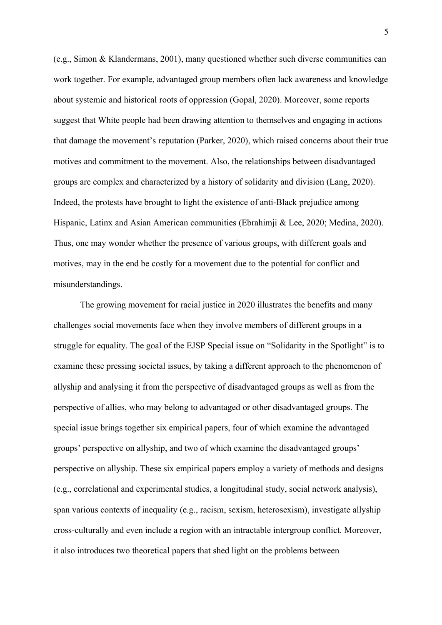(e.g., Simon & Klandermans, 2001), many questioned whether such diverse communities can work together. For example, advantaged group members often lack awareness and knowledge about systemic and historical roots of oppression (Gopal, 2020). Moreover, some reports suggest that White people had been drawing attention to themselves and engaging in actions that damage the movement's reputation (Parker, 2020), which raised concerns about their true motives and commitment to the movement. Also, the relationships between disadvantaged groups are complex and characterized by a history of solidarity and division (Lang, 2020). Indeed, the protests have brought to light the existence of anti-Black prejudice among Hispanic, Latinx and Asian American communities (Ebrahimji & Lee, 2020; Medina, 2020). Thus, one may wonder whether the presence of various groups, with different goals and motives, may in the end be costly for a movement due to the potential for conflict and misunderstandings.

The growing movement for racial justice in 2020 illustrates the benefits and many challenges social movements face when they involve members of different groups in a struggle for equality. The goal of the EJSP Special issue on "Solidarity in the Spotlight" is to examine these pressing societal issues, by taking a different approach to the phenomenon of allyship and analysing it from the perspective of disadvantaged groups as well as from the perspective of allies, who may belong to advantaged or other disadvantaged groups. The special issue brings together six empirical papers, four of which examine the advantaged groups' perspective on allyship, and two of which examine the disadvantaged groups' perspective on allyship. These six empirical papers employ a variety of methods and designs (e.g., correlational and experimental studies, a longitudinal study, social network analysis), span various contexts of inequality (e.g., racism, sexism, heterosexism), investigate allyship cross-culturally and even include a region with an intractable intergroup conflict. Moreover, it also introduces two theoretical papers that shed light on the problems between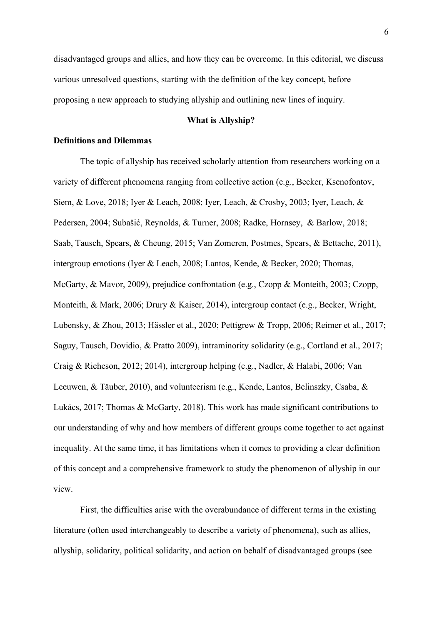disadvantaged groups and allies, and how they can be overcome. In this editorial, we discuss various unresolved questions, starting with the definition of the key concept, before proposing a new approach to studying allyship and outlining new lines of inquiry.

# **What is Allyship?**

# **Definitions and Dilemmas**

The topic of allyship has received scholarly attention from researchers working on a variety of different phenomena ranging from collective action (e.g., Becker, Ksenofontov, Siem, & Love, 2018; Iyer & Leach, 2008; Iyer, Leach, & Crosby, 2003; Iyer, Leach, & Pedersen, 2004; Subašić, Reynolds, & Turner, 2008; Radke, Hornsey, & Barlow, 2018; Saab, Tausch, Spears, & Cheung, 2015; Van Zomeren, Postmes, Spears, & Bettache, 2011), intergroup emotions (Iyer & Leach, 2008; Lantos, Kende, & Becker, 2020; Thomas, McGarty, & Mavor, 2009), prejudice confrontation (e.g., Czopp & Monteith, 2003; Czopp, Monteith, & Mark, 2006; Drury & Kaiser, 2014), intergroup contact (e.g., Becker, Wright, Lubensky, & Zhou, 2013; Hässler et al., 2020; Pettigrew & Tropp, 2006; Reimer et al., 2017; Saguy, Tausch, Dovidio, & Pratto 2009), intraminority solidarity (e.g., Cortland et al., 2017; Craig & Richeson, 2012; 2014), intergroup helping (e.g., Nadler, & Halabi, 2006; Van Leeuwen, & Täuber, 2010), and volunteerism (e.g., Kende, Lantos, Belinszky, Csaba, & Lukács, 2017; Thomas & McGarty, 2018). This work has made significant contributions to our understanding of why and how members of different groups come together to act against inequality. At the same time, it has limitations when it comes to providing a clear definition of this concept and a comprehensive framework to study the phenomenon of allyship in our view.

First, the difficulties arise with the overabundance of different terms in the existing literature (often used interchangeably to describe a variety of phenomena), such as allies, allyship, solidarity, political solidarity, and action on behalf of disadvantaged groups (see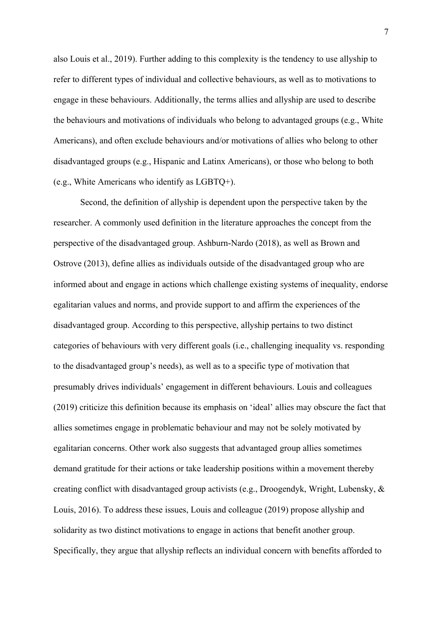also Louis et al., 2019). Further adding to this complexity is the tendency to use allyship to refer to different types of individual and collective behaviours, as well as to motivations to engage in these behaviours. Additionally, the terms allies and allyship are used to describe the behaviours and motivations of individuals who belong to advantaged groups (e.g., White Americans), and often exclude behaviours and/or motivations of allies who belong to other disadvantaged groups (e.g., Hispanic and Latinx Americans), or those who belong to both (e.g., White Americans who identify as LGBTQ+).

Second, the definition of allyship is dependent upon the perspective taken by the researcher. A commonly used definition in the literature approaches the concept from the perspective of the disadvantaged group. Ashburn-Nardo (2018), as well as Brown and Ostrove (2013), define allies as individuals outside of the disadvantaged group who are informed about and engage in actions which challenge existing systems of inequality, endorse egalitarian values and norms, and provide support to and affirm the experiences of the disadvantaged group. According to this perspective, allyship pertains to two distinct categories of behaviours with very different goals (i.e., challenging inequality vs. responding to the disadvantaged group's needs), as well as to a specific type of motivation that presumably drives individuals' engagement in different behaviours. Louis and colleagues (2019) criticize this definition because its emphasis on 'ideal' allies may obscure the fact that allies sometimes engage in problematic behaviour and may not be solely motivated by egalitarian concerns. Other work also suggests that advantaged group allies sometimes demand gratitude for their actions or take leadership positions within a movement thereby creating conflict with disadvantaged group activists (e.g., Droogendyk, Wright, Lubensky, & Louis, 2016). To address these issues, Louis and colleague (2019) propose allyship and solidarity as two distinct motivations to engage in actions that benefit another group. Specifically, they argue that allyship reflects an individual concern with benefits afforded to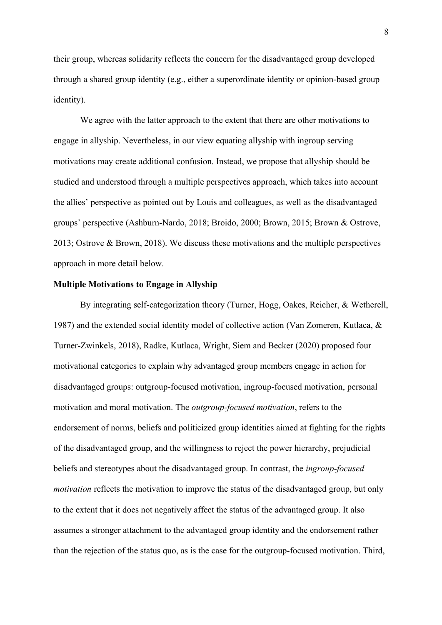their group, whereas solidarity reflects the concern for the disadvantaged group developed through a shared group identity (e.g., either a superordinate identity or opinion-based group identity).

We agree with the latter approach to the extent that there are other motivations to engage in allyship. Nevertheless, in our view equating allyship with ingroup serving motivations may create additional confusion. Instead, we propose that allyship should be studied and understood through a multiple perspectives approach, which takes into account the allies' perspective as pointed out by Louis and colleagues, as well as the disadvantaged groups' perspective (Ashburn-Nardo, 2018; Broido, 2000; Brown, 2015; Brown & Ostrove, 2013; Ostrove & Brown, 2018). We discuss these motivations and the multiple perspectives approach in more detail below.

# **Multiple Motivations to Engage in Allyship**

By integrating self-categorization theory (Turner, Hogg, Oakes, Reicher, & Wetherell, 1987) and the extended social identity model of collective action (Van Zomeren, Kutlaca, & Turner-Zwinkels, 2018), Radke, Kutlaca, Wright, Siem and Becker (2020) proposed four motivational categories to explain why advantaged group members engage in action for disadvantaged groups: outgroup-focused motivation, ingroup-focused motivation, personal motivation and moral motivation. The *outgroup-focused motivation*, refers to the endorsement of norms, beliefs and politicized group identities aimed at fighting for the rights of the disadvantaged group, and the willingness to reject the power hierarchy, prejudicial beliefs and stereotypes about the disadvantaged group. In contrast, the *ingroup-focused motivation* reflects the motivation to improve the status of the disadvantaged group, but only to the extent that it does not negatively affect the status of the advantaged group. It also assumes a stronger attachment to the advantaged group identity and the endorsement rather than the rejection of the status quo, as is the case for the outgroup-focused motivation. Third,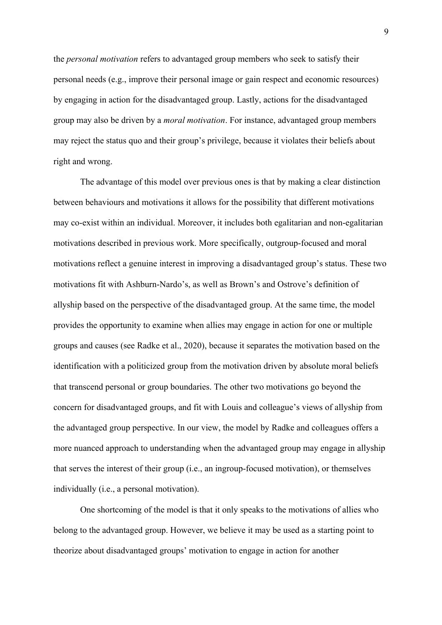the *personal motivation* refers to advantaged group members who seek to satisfy their personal needs (e.g., improve their personal image or gain respect and economic resources) by engaging in action for the disadvantaged group. Lastly, actions for the disadvantaged group may also be driven by a *moral motivation*. For instance, advantaged group members may reject the status quo and their group's privilege, because it violates their beliefs about right and wrong.

The advantage of this model over previous ones is that by making a clear distinction between behaviours and motivations it allows for the possibility that different motivations may co-exist within an individual. Moreover, it includes both egalitarian and non-egalitarian motivations described in previous work. More specifically, outgroup-focused and moral motivations reflect a genuine interest in improving a disadvantaged group's status. These two motivations fit with Ashburn-Nardo's, as well as Brown's and Ostrove's definition of allyship based on the perspective of the disadvantaged group. At the same time, the model provides the opportunity to examine when allies may engage in action for one or multiple groups and causes (see Radke et al., 2020), because it separates the motivation based on the identification with a politicized group from the motivation driven by absolute moral beliefs that transcend personal or group boundaries. The other two motivations go beyond the concern for disadvantaged groups, and fit with Louis and colleague's views of allyship from the advantaged group perspective. In our view, the model by Radke and colleagues offers a more nuanced approach to understanding when the advantaged group may engage in allyship that serves the interest of their group (i.e., an ingroup-focused motivation), or themselves individually (i.e., a personal motivation).

One shortcoming of the model is that it only speaks to the motivations of allies who belong to the advantaged group. However, we believe it may be used as a starting point to theorize about disadvantaged groups' motivation to engage in action for another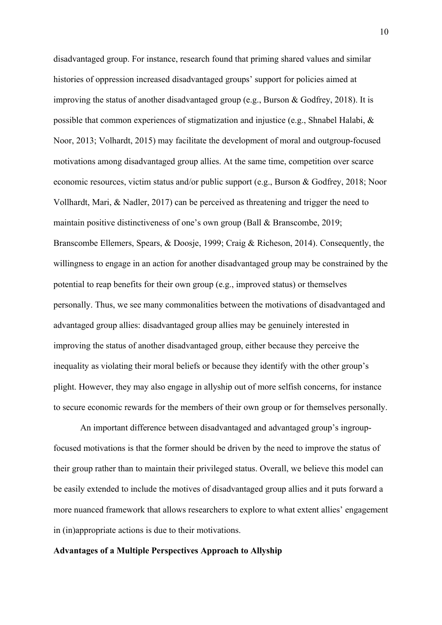disadvantaged group. For instance, research found that priming shared values and similar histories of oppression increased disadvantaged groups' support for policies aimed at improving the status of another disadvantaged group (e.g., Burson & Godfrey, 2018). It is possible that common experiences of stigmatization and injustice (e.g., Shnabel Halabi, & Noor, 2013; Volhardt, 2015) may facilitate the development of moral and outgroup-focused motivations among disadvantaged group allies. At the same time, competition over scarce economic resources, victim status and/or public support (e.g., Burson & Godfrey, 2018; Noor Vollhardt, Mari, & Nadler, 2017) can be perceived as threatening and trigger the need to maintain positive distinctiveness of one's own group (Ball & Branscombe, 2019; Branscombe Ellemers, Spears, & Doosje, 1999; Craig & Richeson, 2014). Consequently, the willingness to engage in an action for another disadvantaged group may be constrained by the potential to reap benefits for their own group (e.g., improved status) or themselves personally. Thus, we see many commonalities between the motivations of disadvantaged and advantaged group allies: disadvantaged group allies may be genuinely interested in improving the status of another disadvantaged group, either because they perceive the inequality as violating their moral beliefs or because they identify with the other group's plight. However, they may also engage in allyship out of more selfish concerns, for instance to secure economic rewards for the members of their own group or for themselves personally.

An important difference between disadvantaged and advantaged group's ingroupfocused motivations is that the former should be driven by the need to improve the status of their group rather than to maintain their privileged status. Overall, we believe this model can be easily extended to include the motives of disadvantaged group allies and it puts forward a more nuanced framework that allows researchers to explore to what extent allies' engagement in (in)appropriate actions is due to their motivations.

# **Advantages of a Multiple Perspectives Approach to Allyship**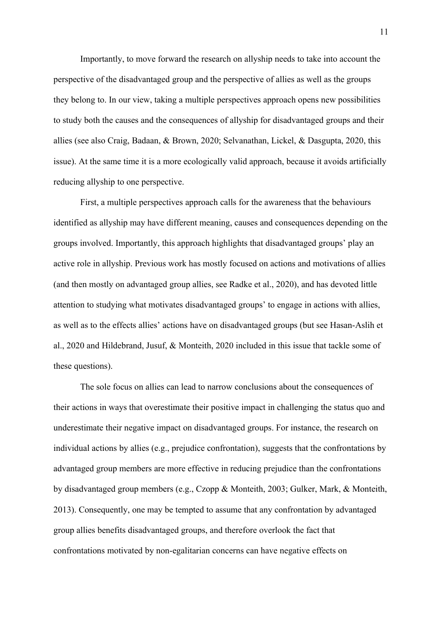Importantly, to move forward the research on allyship needs to take into account the perspective of the disadvantaged group and the perspective of allies as well as the groups they belong to. In our view, taking a multiple perspectives approach opens new possibilities to study both the causes and the consequences of allyship for disadvantaged groups and their allies (see also Craig, Badaan, & Brown, 2020; Selvanathan, Lickel, & Dasgupta, 2020, this issue). At the same time it is a more ecologically valid approach, because it avoids artificially reducing allyship to one perspective.

First, a multiple perspectives approach calls for the awareness that the behaviours identified as allyship may have different meaning, causes and consequences depending on the groups involved. Importantly, this approach highlights that disadvantaged groups' play an active role in allyship. Previous work has mostly focused on actions and motivations of allies (and then mostly on advantaged group allies, see Radke et al., 2020), and has devoted little attention to studying what motivates disadvantaged groups' to engage in actions with allies, as well as to the effects allies' actions have on disadvantaged groups (but see Hasan-Aslih et al., 2020 and Hildebrand, Jusuf, & Monteith, 2020 included in this issue that tackle some of these questions).

The sole focus on allies can lead to narrow conclusions about the consequences of their actions in ways that overestimate their positive impact in challenging the status quo and underestimate their negative impact on disadvantaged groups. For instance, the research on individual actions by allies (e.g., prejudice confrontation), suggests that the confrontations by advantaged group members are more effective in reducing prejudice than the confrontations by disadvantaged group members (e.g., Czopp & Monteith, 2003; Gulker, Mark, & Monteith, 2013). Consequently, one may be tempted to assume that any confrontation by advantaged group allies benefits disadvantaged groups, and therefore overlook the fact that confrontations motivated by non-egalitarian concerns can have negative effects on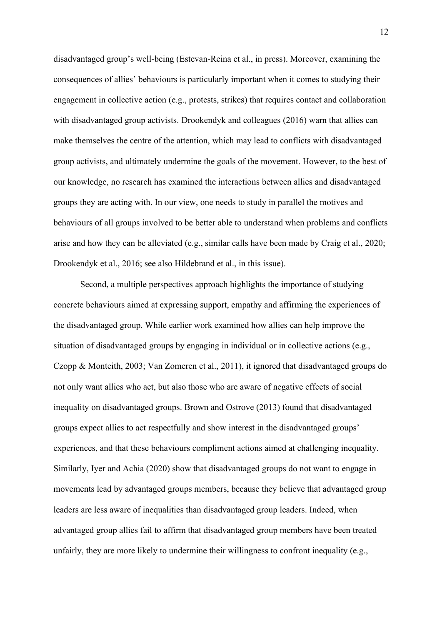disadvantaged group's well-being (Estevan-Reina et al., in press). Moreover, examining the consequences of allies' behaviours is particularly important when it comes to studying their engagement in collective action (e.g., protests, strikes) that requires contact and collaboration with disadvantaged group activists. Drookendyk and colleagues (2016) warn that allies can make themselves the centre of the attention, which may lead to conflicts with disadvantaged group activists, and ultimately undermine the goals of the movement. However, to the best of our knowledge, no research has examined the interactions between allies and disadvantaged groups they are acting with. In our view, one needs to study in parallel the motives and behaviours of all groups involved to be better able to understand when problems and conflicts arise and how they can be alleviated (e.g., similar calls have been made by Craig et al., 2020; Drookendyk et al., 2016; see also Hildebrand et al., in this issue).

Second, a multiple perspectives approach highlights the importance of studying concrete behaviours aimed at expressing support, empathy and affirming the experiences of the disadvantaged group. While earlier work examined how allies can help improve the situation of disadvantaged groups by engaging in individual or in collective actions (e.g., Czopp & Monteith, 2003; Van Zomeren et al., 2011), it ignored that disadvantaged groups do not only want allies who act, but also those who are aware of negative effects of social inequality on disadvantaged groups. Brown and Ostrove (2013) found that disadvantaged groups expect allies to act respectfully and show interest in the disadvantaged groups' experiences, and that these behaviours compliment actions aimed at challenging inequality. Similarly, Iyer and Achia (2020) show that disadvantaged groups do not want to engage in movements lead by advantaged groups members, because they believe that advantaged group leaders are less aware of inequalities than disadvantaged group leaders. Indeed, when advantaged group allies fail to affirm that disadvantaged group members have been treated unfairly, they are more likely to undermine their willingness to confront inequality (e.g.,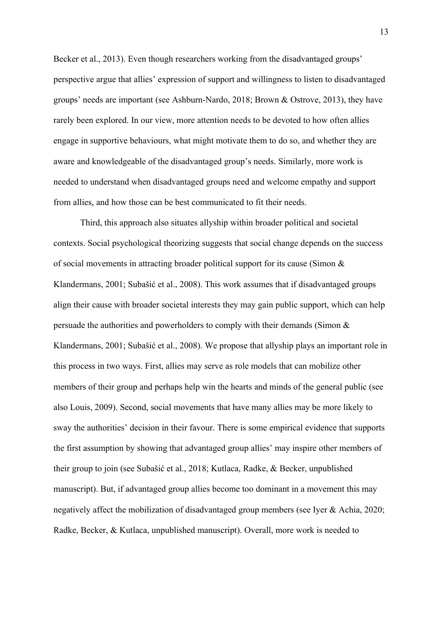Becker et al., 2013). Even though researchers working from the disadvantaged groups' perspective argue that allies' expression of support and willingness to listen to disadvantaged groups' needs are important (see Ashburn-Nardo, 2018; Brown & Ostrove, 2013), they have rarely been explored. In our view, more attention needs to be devoted to how often allies engage in supportive behaviours, what might motivate them to do so, and whether they are aware and knowledgeable of the disadvantaged group's needs. Similarly, more work is needed to understand when disadvantaged groups need and welcome empathy and support from allies, and how those can be best communicated to fit their needs.

Third, this approach also situates allyship within broader political and societal contexts. Social psychological theorizing suggests that social change depends on the success of social movements in attracting broader political support for its cause (Simon & Klandermans, 2001; Subašić et al., 2008). This work assumes that if disadvantaged groups align their cause with broader societal interests they may gain public support, which can help persuade the authorities and powerholders to comply with their demands (Simon & Klandermans, 2001; Subašić et al., 2008). We propose that allyship plays an important role in this process in two ways. First, allies may serve as role models that can mobilize other members of their group and perhaps help win the hearts and minds of the general public (see also Louis, 2009). Second, social movements that have many allies may be more likely to sway the authorities' decision in their favour. There is some empirical evidence that supports the first assumption by showing that advantaged group allies' may inspire other members of their group to join (see Subašić et al., 2018; Kutlaca, Radke, & Becker, unpublished manuscript). But, if advantaged group allies become too dominant in a movement this may negatively affect the mobilization of disadvantaged group members (see Iyer & Achia, 2020; Radke, Becker, & Kutlaca, unpublished manuscript). Overall, more work is needed to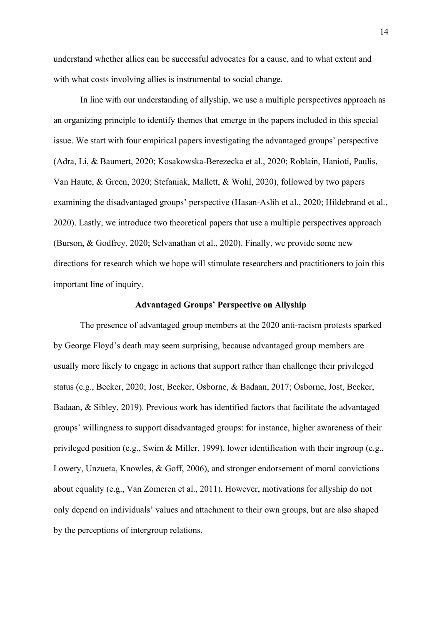understand whether allies can be successful advocates for a cause, and to what extent and with what costs involving allies is instrumental to social change.

In line with our understanding of allyship, we use a multiple perspectives approach as an organizing principle to identify themes that emerge in the papers included in this special issue. We start with four empirical papers investigating the advantaged groups' perspective (Adra, Li, & Baumert, 2020; Kosakowska-Berezecka et al., 2020; Roblain, Hanioti, Paulis, Van Haute, & Green, 2020; Stefaniak, Mallett, & Wohl, 2020), followed by two papers examining the disadvantaged groups' perspective (Hasan-Aslih et al., 2020; Hildebrand et al., 2020). Lastly, we introduce two theoretical papers that use a multiple perspectives approach (Burson, & Godfrey, 2020; Selvanathan et al., 2020). Finally, we provide some new directions for research which we hope will stimulate researchers and practitioners to join this important line of inquiry.

# **Advantaged Groups' Perspective on Allyship**

The presence of advantaged group members at the 2020 anti-racism protests sparked by George Floyd's death may seem surprising, because advantaged group members are usually more likely to engage in actions that support rather than challenge their privileged status (e.g., Becker, 2020; Jost, Becker, Osborne, & Badaan, 2017; Osborne, Jost, Becker, Badaan, & Sibley, 2019). Previous work has identified factors that facilitate the advantaged groups' willingness to support disadvantaged groups: for instance, higher awareness of their privileged position (e.g., Swim & Miller, 1999), lower identification with their ingroup (e.g., Lowery, Unzueta, Knowles, & Goff, 2006), and stronger endorsement of moral convictions about equality (e.g., Van Zomeren et al., 2011). However, motivations for allyship do not only depend on individuals' values and attachment to their own groups, but are also shaped by the perceptions of intergroup relations.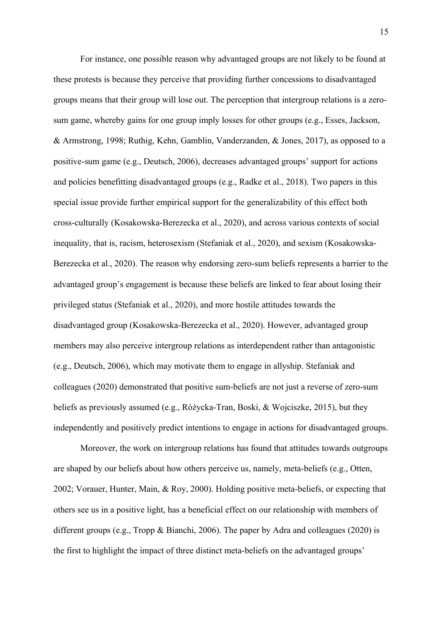For instance, one possible reason why advantaged groups are not likely to be found at these protests is because they perceive that providing further concessions to disadvantaged groups means that their group will lose out. The perception that intergroup relations is a zerosum game, whereby gains for one group imply losses for other groups (e.g., Esses, Jackson, & Armstrong, 1998; Ruthig, Kehn, Gamblin, Vanderzanden, & Jones, 2017), as opposed to a positive-sum game (e.g., Deutsch, 2006), decreases advantaged groups' support for actions and policies benefitting disadvantaged groups (e.g., Radke et al., 2018). Two papers in this special issue provide further empirical support for the generalizability of this effect both cross-culturally (Kosakowska-Berezecka et al., 2020), and across various contexts of social inequality, that is, racism, heterosexism (Stefaniak et al., 2020), and sexism (Kosakowska-Berezecka et al., 2020). The reason why endorsing zero-sum beliefs represents a barrier to the advantaged group's engagement is because these beliefs are linked to fear about losing their privileged status (Stefaniak et al., 2020), and more hostile attitudes towards the disadvantaged group (Kosakowska-Berezecka et al., 2020). However, advantaged group members may also perceive intergroup relations as interdependent rather than antagonistic (e.g., Deutsch, 2006), which may motivate them to engage in allyship. Stefaniak and colleagues (2020) demonstrated that positive sum-beliefs are not just a reverse of zero-sum beliefs as previously assumed (e.g., Różycka-Tran, Boski, & Wojciszke, 2015), but they independently and positively predict intentions to engage in actions for disadvantaged groups.

Moreover, the work on intergroup relations has found that attitudes towards outgroups are shaped by our beliefs about how others perceive us, namely, meta-beliefs (e.g., Otten, 2002; Vorauer, Hunter, Main, & Roy, 2000). Holding positive meta-beliefs, or expecting that others see us in a positive light, has a beneficial effect on our relationship with members of different groups (e.g., Tropp & Bianchi, 2006). The paper by Adra and colleagues (2020) is the first to highlight the impact of three distinct meta-beliefs on the advantaged groups'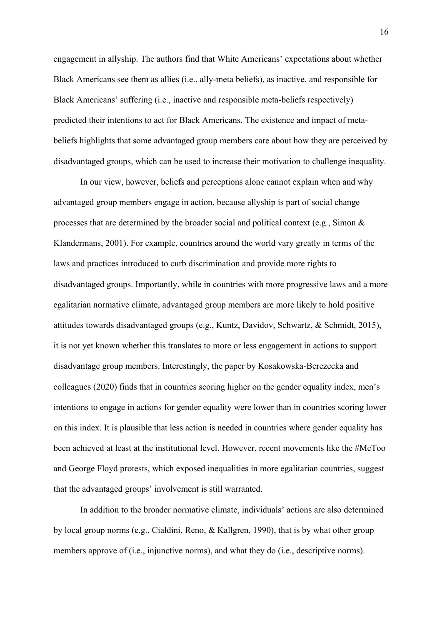engagement in allyship. The authors find that White Americans' expectations about whether Black Americans see them as allies (i.e., ally-meta beliefs), as inactive, and responsible for Black Americans' suffering (i.e., inactive and responsible meta-beliefs respectively) predicted their intentions to act for Black Americans. The existence and impact of metabeliefs highlights that some advantaged group members care about how they are perceived by disadvantaged groups, which can be used to increase their motivation to challenge inequality.

In our view, however, beliefs and perceptions alone cannot explain when and why advantaged group members engage in action, because allyship is part of social change processes that are determined by the broader social and political context (e.g., Simon & Klandermans, 2001). For example, countries around the world vary greatly in terms of the laws and practices introduced to curb discrimination and provide more rights to disadvantaged groups. Importantly, while in countries with more progressive laws and a more egalitarian normative climate, advantaged group members are more likely to hold positive attitudes towards disadvantaged groups (e.g., Kuntz, Davidov, Schwartz, & Schmidt, 2015), it is not yet known whether this translates to more or less engagement in actions to support disadvantage group members. Interestingly, the paper by Kosakowska-Berezecka and colleagues (2020) finds that in countries scoring higher on the gender equality index, men's intentions to engage in actions for gender equality were lower than in countries scoring lower on this index. It is plausible that less action is needed in countries where gender equality has been achieved at least at the institutional level. However, recent movements like the #MeToo and George Floyd protests, which exposed inequalities in more egalitarian countries, suggest that the advantaged groups' involvement is still warranted.

In addition to the broader normative climate, individuals' actions are also determined by local group norms (e.g., Cialdini, Reno, & Kallgren, 1990), that is by what other group members approve of (i.e., injunctive norms), and what they do (i.e., descriptive norms).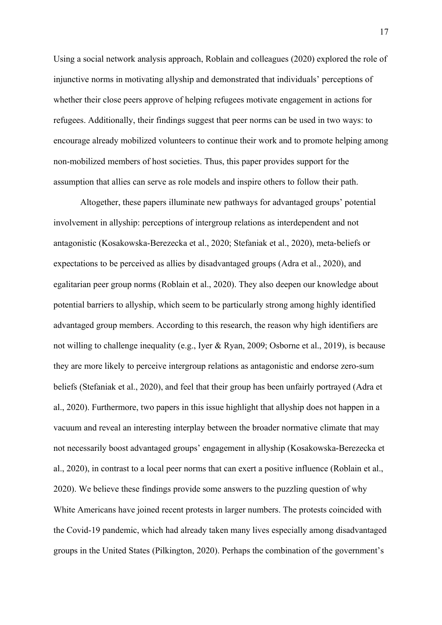Using a social network analysis approach, Roblain and colleagues (2020) explored the role of injunctive norms in motivating allyship and demonstrated that individuals' perceptions of whether their close peers approve of helping refugees motivate engagement in actions for refugees. Additionally, their findings suggest that peer norms can be used in two ways: to encourage already mobilized volunteers to continue their work and to promote helping among non-mobilized members of host societies. Thus, this paper provides support for the assumption that allies can serve as role models and inspire others to follow their path.

Altogether, these papers illuminate new pathways for advantaged groups' potential involvement in allyship: perceptions of intergroup relations as interdependent and not antagonistic (Kosakowska-Berezecka et al., 2020; Stefaniak et al., 2020), meta-beliefs or expectations to be perceived as allies by disadvantaged groups (Adra et al., 2020), and egalitarian peer group norms (Roblain et al., 2020). They also deepen our knowledge about potential barriers to allyship, which seem to be particularly strong among highly identified advantaged group members. According to this research, the reason why high identifiers are not willing to challenge inequality (e.g., Iyer & Ryan, 2009; Osborne et al., 2019), is because they are more likely to perceive intergroup relations as antagonistic and endorse zero-sum beliefs (Stefaniak et al., 2020), and feel that their group has been unfairly portrayed (Adra et al., 2020). Furthermore, two papers in this issue highlight that allyship does not happen in a vacuum and reveal an interesting interplay between the broader normative climate that may not necessarily boost advantaged groups' engagement in allyship (Kosakowska-Berezecka et al., 2020), in contrast to a local peer norms that can exert a positive influence (Roblain et al., 2020). We believe these findings provide some answers to the puzzling question of why White Americans have joined recent protests in larger numbers. The protests coincided with the Covid-19 pandemic, which had already taken many lives especially among disadvantaged groups in the United States (Pilkington, 2020). Perhaps the combination of the government's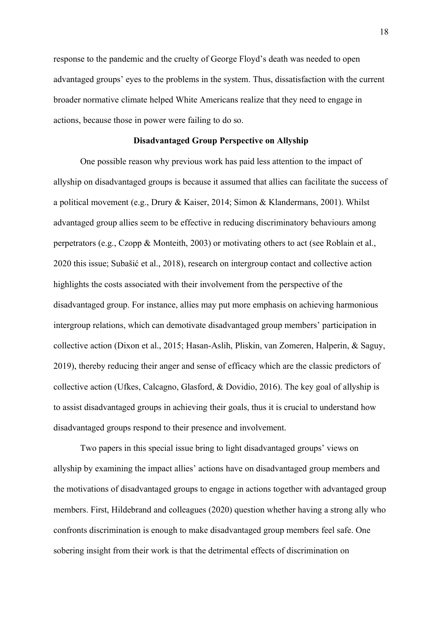response to the pandemic and the cruelty of George Floyd's death was needed to open advantaged groups' eyes to the problems in the system. Thus, dissatisfaction with the current broader normative climate helped White Americans realize that they need to engage in actions, because those in power were failing to do so.

#### **Disadvantaged Group Perspective on Allyship**

One possible reason why previous work has paid less attention to the impact of allyship on disadvantaged groups is because it assumed that allies can facilitate the success of a political movement (e.g., Drury & Kaiser, 2014; Simon & Klandermans, 2001). Whilst advantaged group allies seem to be effective in reducing discriminatory behaviours among perpetrators (e.g., Czopp & Monteith, 2003) or motivating others to act (see Roblain et al., 2020 this issue; Subašić et al., 2018), research on intergroup contact and collective action highlights the costs associated with their involvement from the perspective of the disadvantaged group. For instance, allies may put more emphasis on achieving harmonious intergroup relations, which can demotivate disadvantaged group members' participation in collective action (Dixon et al., 2015; Hasan-Aslih, Pliskin, van Zomeren, Halperin, & Saguy, 2019), thereby reducing their anger and sense of efficacy which are the classic predictors of collective action (Ufkes, Calcagno, Glasford, & Dovidio, 2016). The key goal of allyship is to assist disadvantaged groups in achieving their goals, thus it is crucial to understand how disadvantaged groups respond to their presence and involvement.

Two papers in this special issue bring to light disadvantaged groups' views on allyship by examining the impact allies' actions have on disadvantaged group members and the motivations of disadvantaged groups to engage in actions together with advantaged group members. First, Hildebrand and colleagues (2020) question whether having a strong ally who confronts discrimination is enough to make disadvantaged group members feel safe. One sobering insight from their work is that the detrimental effects of discrimination on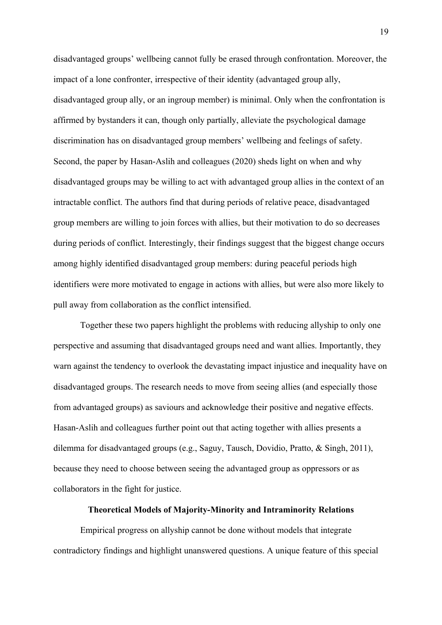disadvantaged groups' wellbeing cannot fully be erased through confrontation. Moreover, the impact of a lone confronter, irrespective of their identity (advantaged group ally, disadvantaged group ally, or an ingroup member) is minimal. Only when the confrontation is affirmed by bystanders it can, though only partially, alleviate the psychological damage discrimination has on disadvantaged group members' wellbeing and feelings of safety. Second, the paper by Hasan-Aslih and colleagues (2020) sheds light on when and why disadvantaged groups may be willing to act with advantaged group allies in the context of an intractable conflict. The authors find that during periods of relative peace, disadvantaged group members are willing to join forces with allies, but their motivation to do so decreases during periods of conflict. Interestingly, their findings suggest that the biggest change occurs among highly identified disadvantaged group members: during peaceful periods high identifiers were more motivated to engage in actions with allies, but were also more likely to pull away from collaboration as the conflict intensified.

Together these two papers highlight the problems with reducing allyship to only one perspective and assuming that disadvantaged groups need and want allies. Importantly, they warn against the tendency to overlook the devastating impact injustice and inequality have on disadvantaged groups. The research needs to move from seeing allies (and especially those from advantaged groups) as saviours and acknowledge their positive and negative effects. Hasan-Aslih and colleagues further point out that acting together with allies presents a dilemma for disadvantaged groups (e.g., Saguy, Tausch, Dovidio, Pratto, & Singh, 2011), because they need to choose between seeing the advantaged group as oppressors or as collaborators in the fight for justice.

# **Theoretical Models of Majority-Minority and Intraminority Relations**

Empirical progress on allyship cannot be done without models that integrate contradictory findings and highlight unanswered questions. A unique feature of this special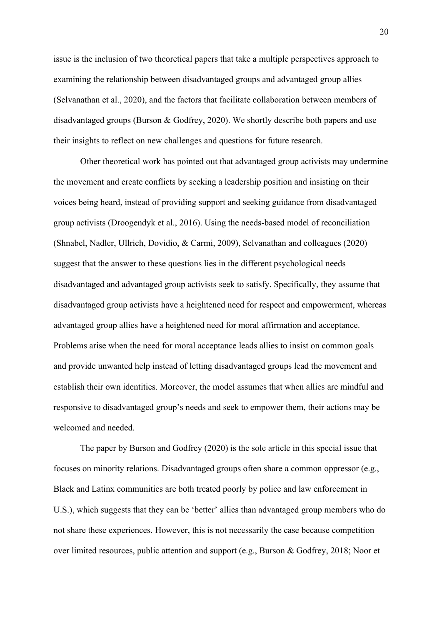issue is the inclusion of two theoretical papers that take a multiple perspectives approach to examining the relationship between disadvantaged groups and advantaged group allies (Selvanathan et al., 2020), and the factors that facilitate collaboration between members of disadvantaged groups (Burson & Godfrey, 2020). We shortly describe both papers and use their insights to reflect on new challenges and questions for future research.

Other theoretical work has pointed out that advantaged group activists may undermine the movement and create conflicts by seeking a leadership position and insisting on their voices being heard, instead of providing support and seeking guidance from disadvantaged group activists (Droogendyk et al., 2016). Using the needs-based model of reconciliation (Shnabel, Nadler, Ullrich, Dovidio, & Carmi, 2009), Selvanathan and colleagues (2020) suggest that the answer to these questions lies in the different psychological needs disadvantaged and advantaged group activists seek to satisfy. Specifically, they assume that disadvantaged group activists have a heightened need for respect and empowerment, whereas advantaged group allies have a heightened need for moral affirmation and acceptance. Problems arise when the need for moral acceptance leads allies to insist on common goals and provide unwanted help instead of letting disadvantaged groups lead the movement and establish their own identities. Moreover, the model assumes that when allies are mindful and responsive to disadvantaged group's needs and seek to empower them, their actions may be welcomed and needed.

The paper by Burson and Godfrey (2020) is the sole article in this special issue that focuses on minority relations. Disadvantaged groups often share a common oppressor (e.g., Black and Latinx communities are both treated poorly by police and law enforcement in U.S.), which suggests that they can be 'better' allies than advantaged group members who do not share these experiences. However, this is not necessarily the case because competition over limited resources, public attention and support (e.g., Burson & Godfrey, 2018; Noor et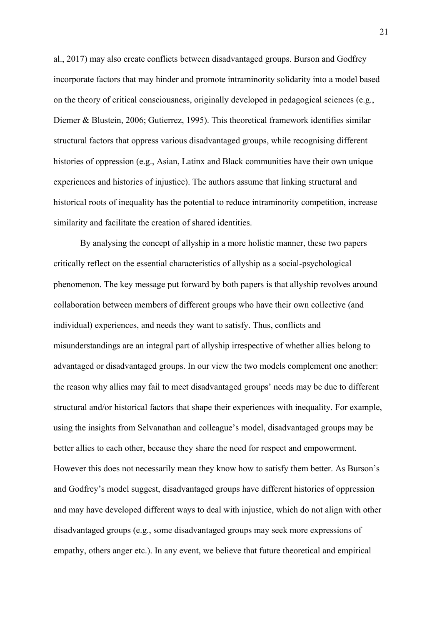al., 2017) may also create conflicts between disadvantaged groups. Burson and Godfrey incorporate factors that may hinder and promote intraminority solidarity into a model based on the theory of critical consciousness, originally developed in pedagogical sciences (e.g., Diemer & Blustein, 2006; Gutierrez, 1995). This theoretical framework identifies similar structural factors that oppress various disadvantaged groups, while recognising different histories of oppression (e.g., Asian, Latinx and Black communities have their own unique experiences and histories of injustice). The authors assume that linking structural and historical roots of inequality has the potential to reduce intraminority competition, increase similarity and facilitate the creation of shared identities.

By analysing the concept of allyship in a more holistic manner, these two papers critically reflect on the essential characteristics of allyship as a social-psychological phenomenon. The key message put forward by both papers is that allyship revolves around collaboration between members of different groups who have their own collective (and individual) experiences, and needs they want to satisfy. Thus, conflicts and misunderstandings are an integral part of allyship irrespective of whether allies belong to advantaged or disadvantaged groups. In our view the two models complement one another: the reason why allies may fail to meet disadvantaged groups' needs may be due to different structural and/or historical factors that shape their experiences with inequality. For example, using the insights from Selvanathan and colleague's model, disadvantaged groups may be better allies to each other, because they share the need for respect and empowerment. However this does not necessarily mean they know how to satisfy them better. As Burson's and Godfrey's model suggest, disadvantaged groups have different histories of oppression and may have developed different ways to deal with injustice, which do not align with other disadvantaged groups (e.g., some disadvantaged groups may seek more expressions of empathy, others anger etc.). In any event, we believe that future theoretical and empirical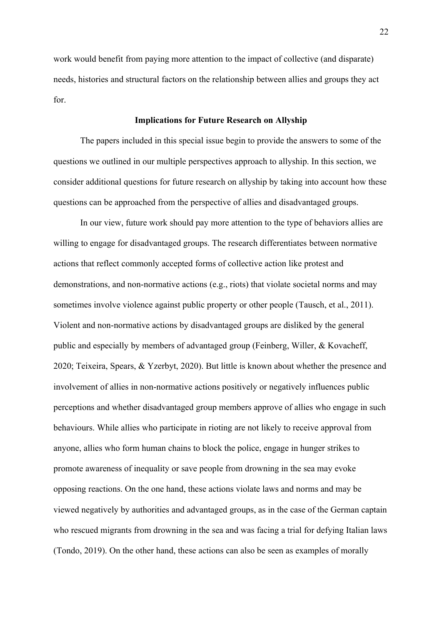work would benefit from paying more attention to the impact of collective (and disparate) needs, histories and structural factors on the relationship between allies and groups they act for.

# **Implications for Future Research on Allyship**

The papers included in this special issue begin to provide the answers to some of the questions we outlined in our multiple perspectives approach to allyship. In this section, we consider additional questions for future research on allyship by taking into account how these questions can be approached from the perspective of allies and disadvantaged groups.

In our view, future work should pay more attention to the type of behaviors allies are willing to engage for disadvantaged groups. The research differentiates between normative actions that reflect commonly accepted forms of collective action like protest and demonstrations, and non-normative actions (e.g., riots) that violate societal norms and may sometimes involve violence against public property or other people (Tausch, et al., 2011). Violent and non-normative actions by disadvantaged groups are disliked by the general public and especially by members of advantaged group (Feinberg, Willer, & Kovacheff, 2020; Teixeira, Spears, & Yzerbyt, 2020). But little is known about whether the presence and involvement of allies in non-normative actions positively or negatively influences public perceptions and whether disadvantaged group members approve of allies who engage in such behaviours. While allies who participate in rioting are not likely to receive approval from anyone, allies who form human chains to block the police, engage in hunger strikes to promote awareness of inequality or save people from drowning in the sea may evoke opposing reactions. On the one hand, these actions violate laws and norms and may be viewed negatively by authorities and advantaged groups, as in the case of the German captain who rescued migrants from drowning in the sea and was facing a trial for defying Italian laws (Tondo, 2019). On the other hand, these actions can also be seen as examples of morally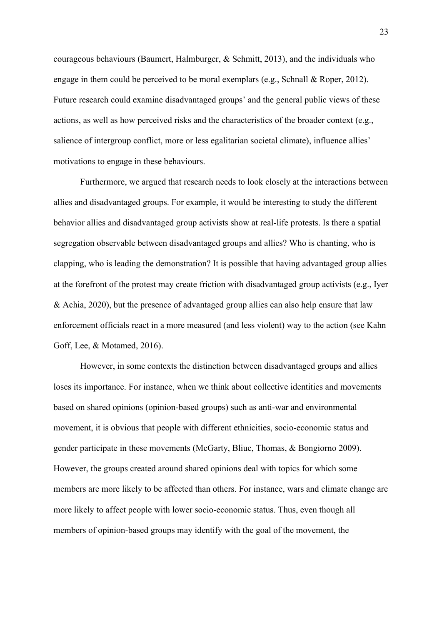courageous behaviours (Baumert, Halmburger, & Schmitt, 2013), and the individuals who engage in them could be perceived to be moral exemplars (e.g., Schnall & Roper, 2012). Future research could examine disadvantaged groups' and the general public views of these actions, as well as how perceived risks and the characteristics of the broader context (e.g., salience of intergroup conflict, more or less egalitarian societal climate), influence allies' motivations to engage in these behaviours.

Furthermore, we argued that research needs to look closely at the interactions between allies and disadvantaged groups. For example, it would be interesting to study the different behavior allies and disadvantaged group activists show at real-life protests. Is there a spatial segregation observable between disadvantaged groups and allies? Who is chanting, who is clapping, who is leading the demonstration? It is possible that having advantaged group allies at the forefront of the protest may create friction with disadvantaged group activists (e.g., Iyer & Achia, 2020), but the presence of advantaged group allies can also help ensure that law enforcement officials react in a more measured (and less violent) way to the action (see Kahn Goff, Lee, & Motamed, 2016).

However, in some contexts the distinction between disadvantaged groups and allies loses its importance. For instance, when we think about collective identities and movements based on shared opinions (opinion-based groups) such as anti-war and environmental movement, it is obvious that people with different ethnicities, socio-economic status and gender participate in these movements (McGarty, Bliuc, Thomas, & Bongiorno 2009). However, the groups created around shared opinions deal with topics for which some members are more likely to be affected than others. For instance, wars and climate change are more likely to affect people with lower socio-economic status. Thus, even though all members of opinion-based groups may identify with the goal of the movement, the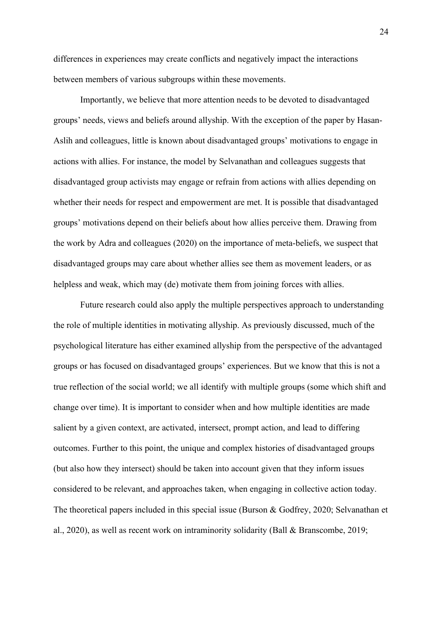differences in experiences may create conflicts and negatively impact the interactions between members of various subgroups within these movements.

Importantly, we believe that more attention needs to be devoted to disadvantaged groups' needs, views and beliefs around allyship. With the exception of the paper by Hasan-Aslih and colleagues, little is known about disadvantaged groups' motivations to engage in actions with allies. For instance, the model by Selvanathan and colleagues suggests that disadvantaged group activists may engage or refrain from actions with allies depending on whether their needs for respect and empowerment are met. It is possible that disadvantaged groups' motivations depend on their beliefs about how allies perceive them. Drawing from the work by Adra and colleagues (2020) on the importance of meta-beliefs, we suspect that disadvantaged groups may care about whether allies see them as movement leaders, or as helpless and weak, which may (de) motivate them from joining forces with allies.

Future research could also apply the multiple perspectives approach to understanding the role of multiple identities in motivating allyship. As previously discussed, much of the psychological literature has either examined allyship from the perspective of the advantaged groups or has focused on disadvantaged groups' experiences. But we know that this is not a true reflection of the social world; we all identify with multiple groups (some which shift and change over time). It is important to consider when and how multiple identities are made salient by a given context, are activated, intersect, prompt action, and lead to differing outcomes. Further to this point, the unique and complex histories of disadvantaged groups (but also how they intersect) should be taken into account given that they inform issues considered to be relevant, and approaches taken, when engaging in collective action today. The theoretical papers included in this special issue (Burson & Godfrey, 2020; Selvanathan et al., 2020), as well as recent work on intraminority solidarity (Ball & Branscombe, 2019;

24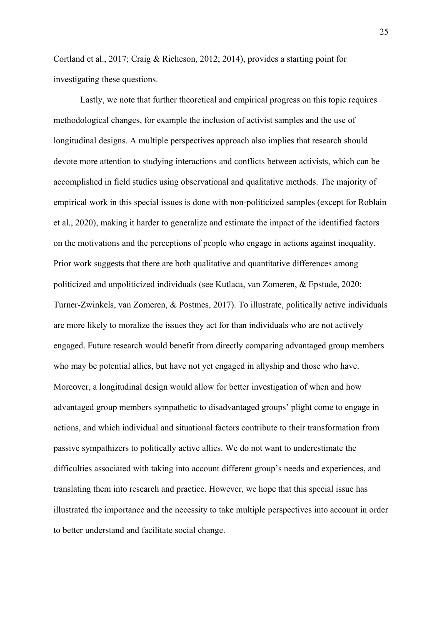Cortland et al., 2017; Craig & Richeson, 2012; 2014), provides a starting point for investigating these questions.

Lastly, we note that further theoretical and empirical progress on this topic requires methodological changes, for example the inclusion of activist samples and the use of longitudinal designs. A multiple perspectives approach also implies that research should devote more attention to studying interactions and conflicts between activists, which can be accomplished in field studies using observational and qualitative methods. The majority of empirical work in this special issues is done with non-politicized samples (except for Roblain et al., 2020), making it harder to generalize and estimate the impact of the identified factors on the motivations and the perceptions of people who engage in actions against inequality. Prior work suggests that there are both qualitative and quantitative differences among politicized and unpoliticized individuals (see Kutlaca, van Zomeren, & Epstude, 2020; Turner-Zwinkels, van Zomeren, & Postmes, 2017). To illustrate, politically active individuals are more likely to moralize the issues they act for than individuals who are not actively engaged. Future research would benefit from directly comparing advantaged group members who may be potential allies, but have not yet engaged in allyship and those who have. Moreover, a longitudinal design would allow for better investigation of when and how advantaged group members sympathetic to disadvantaged groups' plight come to engage in actions, and which individual and situational factors contribute to their transformation from passive sympathizers to politically active allies. We do not want to underestimate the difficulties associated with taking into account different group's needs and experiences, and translating them into research and practice. However, we hope that this special issue has illustrated the importance and the necessity to take multiple perspectives into account in order to better understand and facilitate social change.

25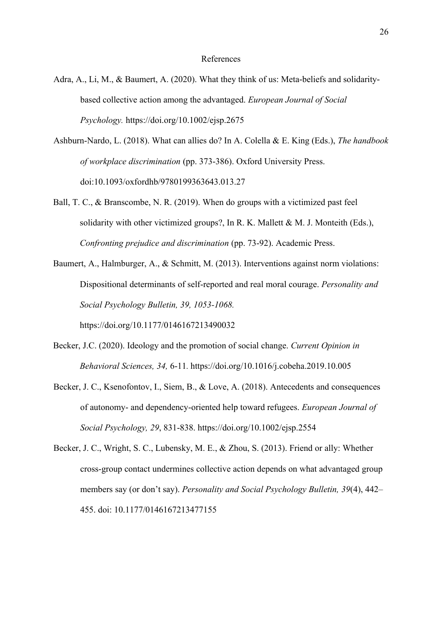#### References

- Adra, A., Li, M., & Baumert, A. (2020). What they think of us: Meta-beliefs and solidaritybased collective action among the advantaged. *European Journal of Social Psychology.* https://doi.org/10.1002/ejsp.2675
- Ashburn-Nardo, L. (2018). What can allies do? In A. Colella & E. King (Eds.), *The handbook of workplace discrimination* (pp. 373-386). Oxford University Press. doi:10.1093/oxfordhb/9780199363643.013.27
- Ball, T. C., & Branscombe, N. R. (2019). When do groups with a victimized past feel solidarity with other victimized groups?, In R. K. Mallett  $\&$  M. J. Monteith (Eds.), *Confronting prejudice and discrimination* (pp. 73-92). Academic Press.
- Baumert, A., Halmburger, A., & Schmitt, M. (2013). Interventions against norm violations: Dispositional determinants of self-reported and real moral courage. *Personality and Social Psychology Bulletin, 39, 1053-1068.*

https://doi.org/10.1177/0146167213490032

- Becker, J.C. (2020). Ideology and the promotion of social change. *Current Opinion in Behavioral Sciences, 34,* 6-11*.* https://doi.org/10.1016/j.cobeha.2019.10.005
- Becker, J. C., Ksenofontov, I., Siem, B., & Love, A. (2018). Antecedents and consequences of autonomy- and dependency-oriented help toward refugees. *European Journal of Social Psychology, 29*, 831-838. https://doi.org/10.1002/ejsp.2554
- Becker, J. C., Wright, S. C., Lubensky, M. E., & Zhou, S. (2013). Friend or ally: Whether cross-group contact undermines collective action depends on what advantaged group members say (or don't say). *Personality and Social Psychology Bulletin, 39*(4), 442– 455. doi: 10.1177/0146167213477155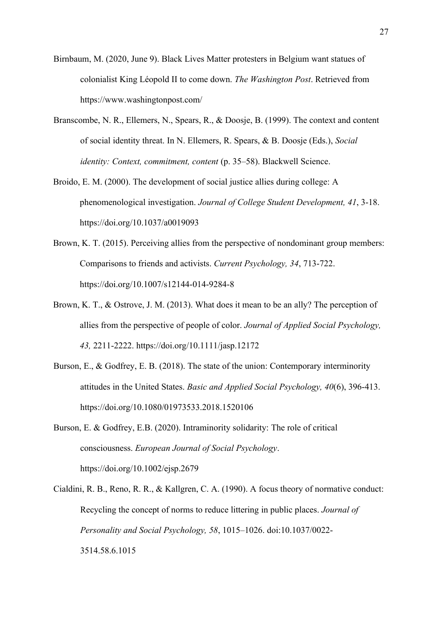- Birnbaum, M. (2020, June 9). Black Lives Matter protesters in Belgium want statues of colonialist King Léopold II to come down. *The Washington Post*. Retrieved from https://www.washingtonpost.com/
- Branscombe, N. R., Ellemers, N., Spears, R., & Doosje, B. (1999). The context and content of social identity threat. In N. Ellemers, R. Spears, & B. Doosje (Eds.), *Social identity: Context, commitment, content* (p. 35–58). Blackwell Science.
- Broido, E. M. (2000). The development of social justice allies during college: A phenomenological investigation. *Journal of College Student Development, 41*, 3-18. https://doi.org/10.1037/a0019093
- Brown, K. T. (2015). Perceiving allies from the perspective of nondominant group members: Comparisons to friends and activists. *Current Psychology, 34*, 713-722. https://doi.org/10.1007/s12144-014-9284-8
- Brown, K. T., & Ostrove, J. M. (2013). What does it mean to be an ally? The perception of allies from the perspective of people of color. *Journal of Applied Social Psychology, 43,* 2211-2222. https://doi.org/10.1111/jasp.12172
- Burson, E., & Godfrey, E. B. (2018). The state of the union: Contemporary interminority attitudes in the United States. *Basic and Applied Social Psychology, 40*(6), 396-413. https://doi.org/10.1080/01973533.2018.1520106
- Burson, E. & Godfrey, E.B. (2020). Intraminority solidarity: The role of critical consciousness. *European Journal of Social Psychology*. https://doi.org/10.1002/ejsp.2679
- Cialdini, R. B., Reno, R. R., & Kallgren, C. A. (1990). A focus theory of normative conduct: Recycling the concept of norms to reduce littering in public places. *Journal of Personality and Social Psychology, 58*, 1015–1026. doi:10.1037/0022- 3514.58.6.1015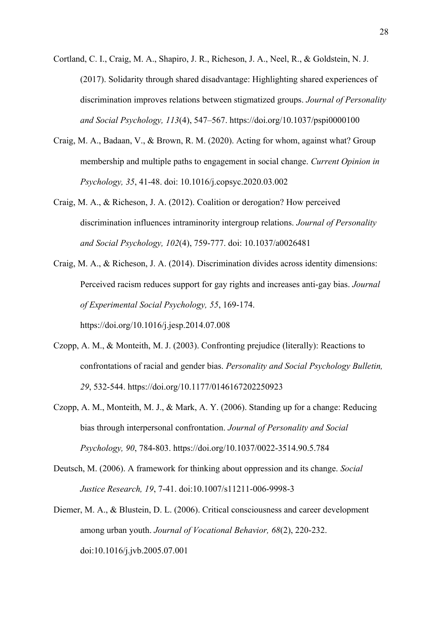- Cortland, C. I., Craig, M. A., Shapiro, J. R., Richeson, J. A., Neel, R., & Goldstein, N. J. (2017). Solidarity through shared disadvantage: Highlighting shared experiences of discrimination improves relations between stigmatized groups. *Journal of Personality and Social Psychology, 113*(4), 547–567. https://doi.org/10.1037/pspi0000100
- Craig, M. A., Badaan, V., & Brown, R. M. (2020). Acting for whom, against what? Group membership and multiple paths to engagement in social change. *Current Opinion in Psychology, 35*, 41-48. doi: 10.1016/j.copsyc.2020.03.002
- Craig, M. A., & Richeson, J. A. (2012). Coalition or derogation? How perceived discrimination influences intraminority intergroup relations. *Journal of Personality and Social Psychology, 102*(4), 759-777. doi: 10.1037/a0026481
- Craig, M. A., & Richeson, J. A. (2014). Discrimination divides across identity dimensions: Perceived racism reduces support for gay rights and increases anti-gay bias. *Journal of Experimental Social Psychology, 55*, 169-174. https://doi.org/10.1016/j.jesp.2014.07.008
- Czopp, A. M., & Monteith, M. J. (2003). Confronting prejudice (literally): Reactions to confrontations of racial and gender bias. *Personality and Social Psychology Bulletin, 29*, 532-544. https://doi.org/10.1177/0146167202250923
- Czopp, A. M., Monteith, M. J., & Mark, A. Y. (2006). Standing up for a change: Reducing bias through interpersonal confrontation. *Journal of Personality and Social Psychology, 90*, 784-803.<https://doi.org/10.1037/0022-3514.90.5.784>
- Deutsch, M. (2006). A framework for thinking about oppression and its change. *Social Justice Research, 19*, 7-41. doi:10.1007/s11211-006-9998-3
- Diemer, M. A., & Blustein, D. L. (2006). Critical consciousness and career development among urban youth. *Journal of Vocational Behavior, 68*(2), 220-232. doi:10.1016/j.jvb.2005.07.001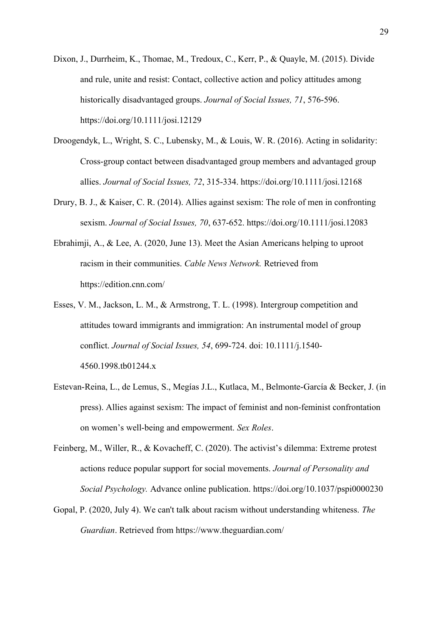- Dixon, J., Durrheim, K., Thomae, M., Tredoux, C., Kerr, P., & Quayle, M. (2015). Divide and rule, unite and resist: Contact, collective action and policy attitudes among historically disadvantaged groups. *Journal of Social Issues, 71*, 576-596. https://doi.org/10.1111/josi.12129
- Droogendyk, L., Wright, S. C., Lubensky, M., & Louis, W. R. (2016). Acting in solidarity: Cross-group contact between disadvantaged group members and advantaged group allies. *Journal of Social Issues, 72*, 315-334. https://doi.org/10.1111/josi.12168
- Drury, B. J., & Kaiser, C. R. (2014). Allies against sexism: The role of men in confronting sexism. *Journal of Social Issues, 70*, 637-652.<https://doi.org/10.1111/josi.12083>
- Ebrahimji, A., & Lee, A. (2020, June 13). Meet the Asian Americans helping to uproot racism in their communities. *Cable News Network.* Retrieved from https://edition.cnn.com/
- Esses, V. M., Jackson, L. M., & Armstrong, T. L. (1998). Intergroup competition and attitudes toward immigrants and immigration: An instrumental model of group conflict. *Journal of Social Issues, 54*, 699-724. doi: 10.1111/j.1540- 4560.1998.tb01244.x
- Estevan-Reina, L., de Lemus, S., Megías J.L., Kutlaca, M., Belmonte-García & Becker, J. (in press). Allies against sexism: The impact of feminist and non-feminist confrontation on women's well-being and empowerment. *Sex Roles*.
- Feinberg, M., Willer, R., & Kovacheff, C. (2020). The activist's dilemma: Extreme protest actions reduce popular support for social movements. *Journal of Personality and Social Psychology.* Advance online publication. https://doi.org/10.1037/pspi0000230
- Gopal, P. (2020, July 4). We can't talk about racism without understanding whiteness. *The Guardian*. Retrieved from https://www.theguardian.com/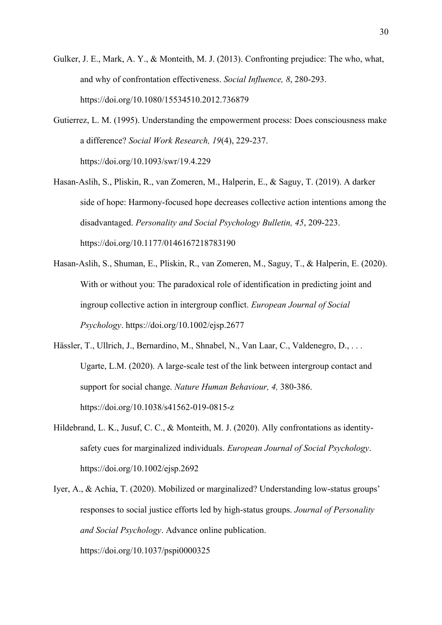- Gulker, J. E., Mark, A. Y., & Monteith, M. J. (2013). Confronting prejudice: The who, what, and why of confrontation effectiveness. *Social Influence, 8*, 280-293. https://doi.org/10.1080/15534510.2012.736879
- Gutierrez, L. M. (1995). Understanding the empowerment process: Does consciousness make a difference? *Social Work Research, 19*(4), 229-237. https://doi.org/10.1093/swr/19.4.229
- Hasan-Aslih, S., Pliskin, R., van Zomeren, M., Halperin, E., & Saguy, T. (2019). A darker side of hope: Harmony-focused hope decreases collective action intentions among the disadvantaged. *Personality and Social Psychology Bulletin, 45*, 209-223. https://doi.org/10.1177/0146167218783190
- Hasan-Aslih, S., Shuman, E., Pliskin, R., van Zomeren, M., Saguy, T., & Halperin, E. (2020). With or without you: The paradoxical role of identification in predicting joint and ingroup collective action in intergroup conflict. *European Journal of Social Psychology*. https://doi.org/10.1002/ejsp.2677
- Hässler, T., Ullrich, J., Bernardino, M., Shnabel, N., Van Laar, C., Valdenegro, D., ... Ugarte, L.M. (2020). A large-scale test of the link between intergroup contact and support for social change. *Nature Human Behaviour, 4,* 380-386. https://doi.org/10.1038/s41562-019-0815-z
- Hildebrand, L. K., Jusuf, C. C., & Monteith, M. J. (2020). Ally confrontations as identitysafety cues for marginalized individuals. *European Journal of Social Psychology*. https://doi.org/10.1002/ejsp.2692
- Iyer, A., & Achia, T. (2020). Mobilized or marginalized? Understanding low-status groups' responses to social justice efforts led by high-status groups. *Journal of Personality and Social Psychology*. Advance online publication.

https://doi.org/10.1037/pspi0000325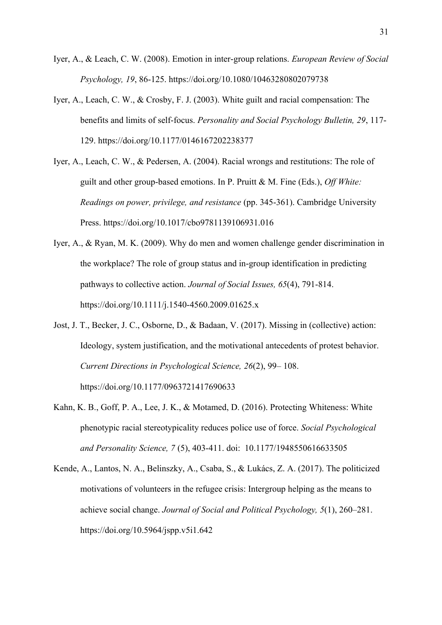- Iyer, A., & Leach, C. W. (2008). Emotion in inter-group relations. *European Review of Social Psychology, 19*, 86-125. https://doi.org/10.1080/10463280802079738
- Iyer, A., Leach, C. W., & Crosby, F. J. (2003). White guilt and racial compensation: The benefits and limits of self-focus. *Personality and Social Psychology Bulletin, 29*, 117- 129. https://doi.org/10.1177/0146167202238377
- Iyer, A., Leach, C. W., & Pedersen, A. (2004). Racial wrongs and restitutions: The role of guilt and other group-based emotions. In P. Pruitt & M. Fine (Eds.), *Off White: Readings on power, privilege, and resistance* (pp. 345-361). Cambridge University Press. https://doi.org/10.1017/cbo9781139106931.016
- Iyer, A., & Ryan, M. K. (2009). Why do men and women challenge gender discrimination in the workplace? The role of group status and in-group identification in predicting pathways to collective action. *Journal of Social Issues, 65*(4), 791-814. https://doi.org/10.1111/j.1540-4560.2009.01625.x
- Jost, J. T., Becker, J. C., Osborne, D., & Badaan, V. (2017). Missing in (collective) action: Ideology, system justification, and the motivational antecedents of protest behavior. *Current Directions in Psychological Science, 26*(2), 99– 108. https://doi.org/10.1177/0963721417690633
- Kahn, K. B., Goff, P. A., Lee, J. K., & Motamed, D. (2016). Protecting Whiteness: White phenotypic racial stereotypicality reduces police use of force. *Social Psychological and Personality Science, 7* (5), 403-411. doi: 10.1177/1948550616633505
- Kende, A., Lantos, N. A., Belinszky, A., Csaba, S., & Lukács, Z. A. (2017). The politicized motivations of volunteers in the refugee crisis: Intergroup helping as the means to achieve social change. *Journal of Social and Political Psychology, 5*(1), 260–281. https://doi.org/10.5964/jspp.v5i1.642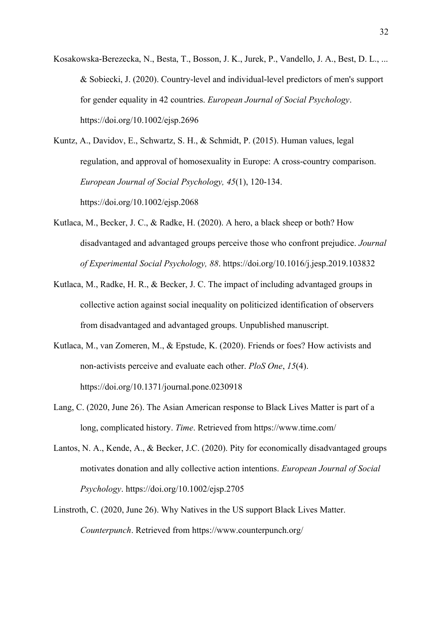Kosakowska-Berezecka, N., Besta, T., Bosson, J. K., Jurek, P., Vandello, J. A., Best, D. L., ... & Sobiecki, J. (2020). Country-level and individual-level predictors of men's support for gender equality in 42 countries. *European Journal of Social Psychology*. https://doi.org/10.1002/ejsp.2696

Kuntz, A., Davidov, E., Schwartz, S. H., & Schmidt, P. (2015). Human values, legal regulation, and approval of homosexuality in Europe: A cross-country comparison. *European Journal of Social Psychology, 45*(1), 120-134. https://doi.org/10.1002/ejsp.2068

- Kutlaca, M., Becker, J. C., & Radke, H. (2020). A hero, a black sheep or both? How disadvantaged and advantaged groups perceive those who confront prejudice. *Journal of Experimental Social Psychology, 88*. https://doi.org/10.1016/j.jesp.2019.103832
- Kutlaca, M., Radke, H. R., & Becker, J. C. The impact of including advantaged groups in collective action against social inequality on politicized identification of observers from disadvantaged and advantaged groups. Unpublished manuscript.
- Kutlaca, M., van Zomeren, M., & Epstude, K. (2020). Friends or foes? How activists and non-activists perceive and evaluate each other. *PloS One*, *15*(4). https://doi.org/10.1371/journal.pone.0230918
- Lang, C. (2020, June 26). The Asian American response to Black Lives Matter is part of a long, complicated history. *Time*. Retrieved from https://www.time.com/
- Lantos, N. A., Kende, A., & Becker, J.C. (2020). Pity for economically disadvantaged groups motivates donation and ally collective action intentions. *European Journal of Social Psychology*. https://doi.org/10.1002/ejsp.2705
- Linstroth, C. (2020, June 26). Why Natives in the US support Black Lives Matter. *Counterpunch*. Retrieved from https://www.counterpunch.org/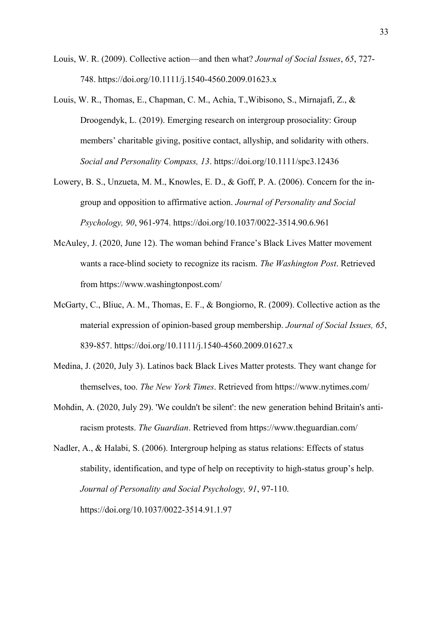- Louis, W. R. (2009). Collective action—and then what? *Journal of Social Issues*, *65*, 727- 748. https://doi.org/10.1111/j.1540-4560.2009.01623.x
- Louis, W. R., Thomas, E., Chapman, C. M., Achia, T.,Wibisono, S., Mirnajafi, Z., & Droogendyk, L. (2019). Emerging research on intergroup prosociality: Group members' charitable giving, positive contact, allyship, and solidarity with others. *Social and Personality Compass, 13*. https://doi.org/10.1111/spc3.12436
- Lowery, B. S., Unzueta, M. M., Knowles, E. D., & Goff, P. A. (2006). Concern for the ingroup and opposition to affirmative action. *Journal of Personality and Social Psychology, 90*, 961-974. https://doi.org/10.1037/0022-3514.90.6.961
- McAuley, J. (2020, June 12). The woman behind France's Black Lives Matter movement wants a race-blind society to recognize its racism. *The Washington Post*. Retrieved from https://www.washingtonpost.com/
- McGarty, C., Bliuc, A. M., Thomas, E. F., & Bongiorno, R. (2009). Collective action as the material expression of opinion-based group membership. *Journal of Social Issues, 65*, 839-857.<https://doi.org/10.1111/j.1540-4560.2009.01627.x>
- Medina, J. (2020, July 3). Latinos back Black Lives Matter protests. They want change for themselves, too. *The New York Times*. Retrieved from https://www.nytimes.com/
- Mohdin, A. (2020, July 29). 'We couldn't be silent': the new generation behind Britain's antiracism protests. *The Guardian*. Retrieved from https://www.theguardian.com/
- Nadler, A., & Halabi, S. (2006). Intergroup helping as status relations: Effects of status stability, identification, and type of help on receptivity to high-status group's help. *Journal of Personality and Social Psychology, 91*, 97-110. https://doi.org/10.1037/0022-3514.91.1.97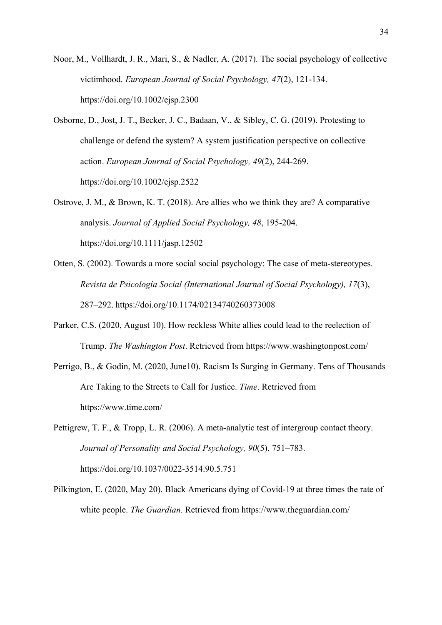Noor, M., Vollhardt, J. R., Mari, S., & Nadler, A. (2017). The social psychology of collective victimhood. *European Journal of Social Psychology, 47*(2), 121-134. https://doi.org/10.1002/ejsp.2300

Osborne, D., Jost, J. T., Becker, J. C., Badaan, V., & Sibley, C. G. (2019). Protesting to challenge or defend the system? A system justification perspective on collective action. *European Journal of Social Psychology, 49*(2), 244-269. https://doi.org/10.1002/ejsp.2522

Ostrove, J. M., & Brown, K. T. (2018). Are allies who we think they are? A comparative analysis. *Journal of Applied Social Psychology, 48*, 195-204. <https://doi.org/10.1111/jasp.12502>

- Otten, S. (2002). Towards a more social social psychology: The case of meta-stereotypes. *Revista de Psicología Social (International Journal of Social Psychology), 17*(3), 287–292. https://doi.org/10.1174/02134740260373008
- Parker, C.S. (2020, August 10). How reckless White allies could lead to the reelection of Trump. *The Washington Post*. Retrieved from https://www.washingtonpost.com/
- Perrigo, B., & Godin, M. (2020, June10). Racism Is Surging in Germany. Tens of Thousands Are Taking to the Streets to Call for Justice. *Time*. Retrieved from https://www.time.com/

Pettigrew, T. F., & Tropp, L. R. (2006). A meta-analytic test of intergroup contact theory. *Journal of Personality and Social Psychology, 90*(5), 751–783. https://doi.org/10.1037/0022-3514.90.5.751

Pilkington, E. (2020, May 20). Black Americans dying of Covid-19 at three times the rate of white people. *The Guardian*. Retrieved from https://www.theguardian.com/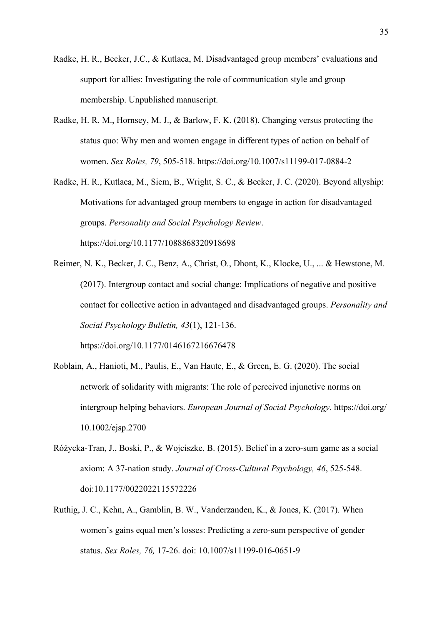- Radke, H. R., Becker, J.C., & Kutlaca, M. Disadvantaged group members' evaluations and support for allies: Investigating the role of communication style and group membership. Unpublished manuscript.
- Radke, H. R. M., Hornsey, M. J., & Barlow, F. K. (2018). Changing versus protecting the status quo: Why men and women engage in different types of action on behalf of women. *Sex Roles, 79*, 505-518. <https://doi.org/10.1007/s11199-017-0884-2>
- Radke, H. R., Kutlaca, M., Siem, B., Wright, S. C., & Becker, J. C. (2020). Beyond allyship: Motivations for advantaged group members to engage in action for disadvantaged groups. *Personality and Social Psychology Review*. https://doi.org/10.1177/1088868320918698
- Reimer, N. K., Becker, J. C., Benz, A., Christ, O., Dhont, K., Klocke, U., ... & Hewstone, M. (2017). Intergroup contact and social change: Implications of negative and positive contact for collective action in advantaged and disadvantaged groups. *Personality and Social Psychology Bulletin, 43*(1), 121-136. https://doi.org/10.1177/0146167216676478
- Roblain, A., Hanioti, M., Paulis, E., Van Haute, E., & Green, E. G. (2020). The social network of solidarity with migrants: The role of perceived injunctive norms on intergroup helping behaviors. *European Journal of Social Psychology*. https://doi.org/ 10.1002/ejsp.2700
- Różycka-Tran, J., Boski, P., & Wojciszke, B. (2015). Belief in a zero-sum game as a social axiom: A 37-nation study. *Journal of Cross-Cultural Psychology, 46*, 525-548. doi:10.1177/0022022115572226
- Ruthig, J. C., Kehn, A., Gamblin, B. W., Vanderzanden, K., & Jones, K. (2017). When women's gains equal men's losses: Predicting a zero-sum perspective of gender status. *Sex Roles, 76,* 17-26. doi: 10.1007/s11199-016-0651-9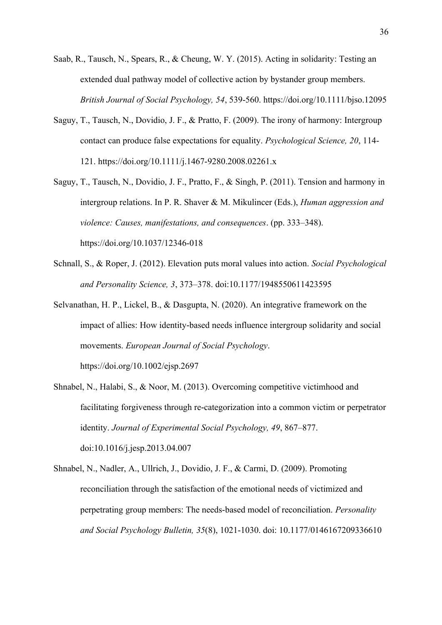Saab, R., Tausch, N., Spears, R., & Cheung, W. Y. (2015). Acting in solidarity: Testing an extended dual pathway model of collective action by bystander group members. *British Journal of Social Psychology, 54*, 539-560. https://doi.org/10.1111/bjso.12095

- Saguy, T., Tausch, N., Dovidio, J. F., & Pratto, F. (2009). The irony of harmony: Intergroup contact can produce false expectations for equality. *Psychological Science, 20*, 114- 121. https://doi.org/10.1111/j.1467-9280.2008.02261.x
- Saguy, T., Tausch, N., Dovidio, J. F., Pratto, F., & Singh, P. (2011). Tension and harmony in intergroup relations. In P. R. Shaver & M. Mikulincer (Eds.), *Human aggression and violence: Causes, manifestations, and consequences*. (pp. 333–348). https://doi.org/10.1037/12346-018
- Schnall, S., & Roper, J. (2012). Elevation puts moral values into action. *Social Psychological and Personality Science, 3*, 373–378. doi:10.1177/1948550611423595
- Selvanathan, H. P., Lickel, B., & Dasgupta, N. (2020). An integrative framework on the impact of allies: How identity-based needs influence intergroup solidarity and social movements. *European Journal of Social Psychology*. https://doi.org/10.1002/ejsp.2697
- Shnabel, N., Halabi, S., & Noor, M. (2013). Overcoming competitive victimhood and facilitating forgiveness through re-categorization into a common victim or perpetrator identity. *Journal of Experimental Social Psychology, 49*, 867–877. doi:10.1016/j.jesp.2013.04.007
- Shnabel, N., Nadler, A., Ullrich, J., Dovidio, J. F., & Carmi, D. (2009). Promoting reconciliation through the satisfaction of the emotional needs of victimized and perpetrating group members: The needs-based model of reconciliation. *Personality and Social Psychology Bulletin, 35*(8), 1021-1030. doi: 10.1177/0146167209336610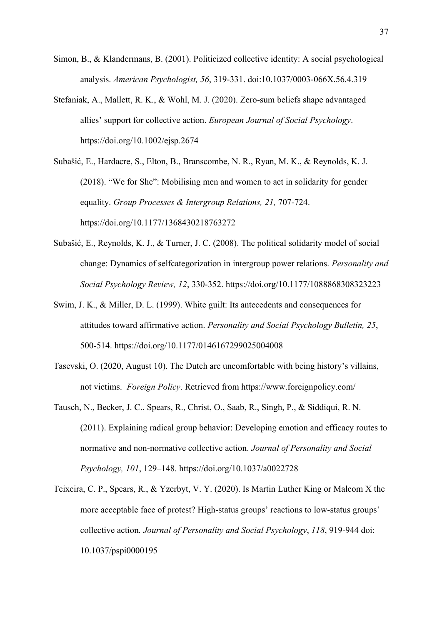- Simon, B., & Klandermans, B. (2001). Politicized collective identity: A social psychological analysis. *American Psychologist, 56*, 319-331. doi:10.1037/0003-066X.56.4.319
- Stefaniak, A., Mallett, R. K., & Wohl, M. J. (2020). Zero-sum beliefs shape advantaged allies' support for collective action. *European Journal of Social Psychology*. https://doi.org/10.1002/ejsp.2674
- Subašić, E., Hardacre, S., Elton, B., Branscombe, N. R., Ryan, M. K., & Reynolds, K. J. (2018). "We for She": Mobilising men and women to act in solidarity for gender equality. *Group Processes & Intergroup Relations, 21,* 707-724. https://doi.org/10.1177/1368430218763272
- Subašić, E., Reynolds, K. J., & Turner, J. C. (2008). The political solidarity model of social change: Dynamics of selfcategorization in intergroup power relations. *Personality and Social Psychology Review, 12*, 330-352. https://doi.org/10.1177/1088868308323223
- Swim, J. K., & Miller, D. L. (1999). White guilt: Its antecedents and consequences for attitudes toward affirmative action. *Personality and Social Psychology Bulletin, 25*, 500-514. https://doi.org/10.1177/0146167299025004008
- Tasevski, O. (2020, August 10). The Dutch are uncomfortable with being history's villains, not victims. *Foreign Policy*. Retrieved from https://www.foreignpolicy.com/
- Tausch, N., Becker, J. C., Spears, R., Christ, O., Saab, R., Singh, P., & Siddiqui, R. N. (2011). Explaining radical group behavior: Developing emotion and efficacy routes to normative and non-normative collective action. *Journal of Personality and Social Psychology, 101*, 129–148. https://doi.org/10.1037/a0022728
- Teixeira, C. P., Spears, R., & Yzerbyt, V. Y. (2020). Is Martin Luther King or Malcom X the more acceptable face of protest? High-status groups' reactions to low-status groups' collective action*. Journal of Personality and Social Psychology*, *118*, 919-944 doi: 10.1037/pspi0000195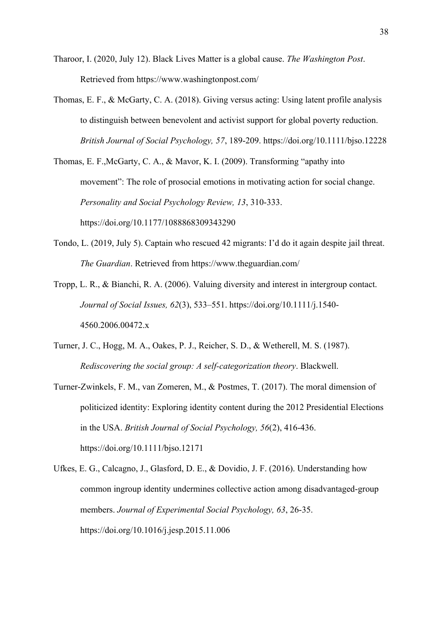- Tharoor, I. (2020, July 12). Black Lives Matter is a global cause. *The Washington Post*. Retrieved from https://www.washingtonpost.com/
- Thomas, E. F., & McGarty, C. A. (2018). Giving versus acting: Using latent profile analysis to distinguish between benevolent and activist support for global poverty reduction. *British Journal of Social Psychology, 57*, 189-209. https://doi.org/10.1111/bjso.12228

Thomas, E. F.,McGarty, C. A., & Mavor, K. I. (2009). Transforming "apathy into movement": The role of prosocial emotions in motivating action for social change. *Personality and Social Psychology Review, 13*, 310-333. https://doi.org/10.1177/1088868309343290

- Tondo, L. (2019, July 5). Captain who rescued 42 migrants: I'd do it again despite jail threat. *The Guardian*. Retrieved from https://www.theguardian.com/
- Tropp, L. R., & Bianchi, R. A. (2006). Valuing diversity and interest in intergroup contact. *Journal of Social Issues, 62*(3), 533–551. https://doi.org/10.1111/j.1540- 4560.2006.00472.x
- Turner, J. C., Hogg, M. A., Oakes, P. J., Reicher, S. D., & Wetherell, M. S. (1987). *Rediscovering the social group: A self-categorization theory*. Blackwell.
- Turner-Zwinkels, F. M., van Zomeren, M., & Postmes, T. (2017). The moral dimension of politicized identity: Exploring identity content during the 2012 Presidential Elections in the USA. *British Journal of Social Psychology, 56*(2), 416-436. https://doi.org/10.1111/bjso.12171

Ufkes, E. G., Calcagno, J., Glasford, D. E., & Dovidio, J. F. (2016). Understanding how common ingroup identity undermines collective action among disadvantaged-group members. *Journal of Experimental Social Psychology, 63*, 26-35. https://doi.org/10.1016/j.jesp.2015.11.006